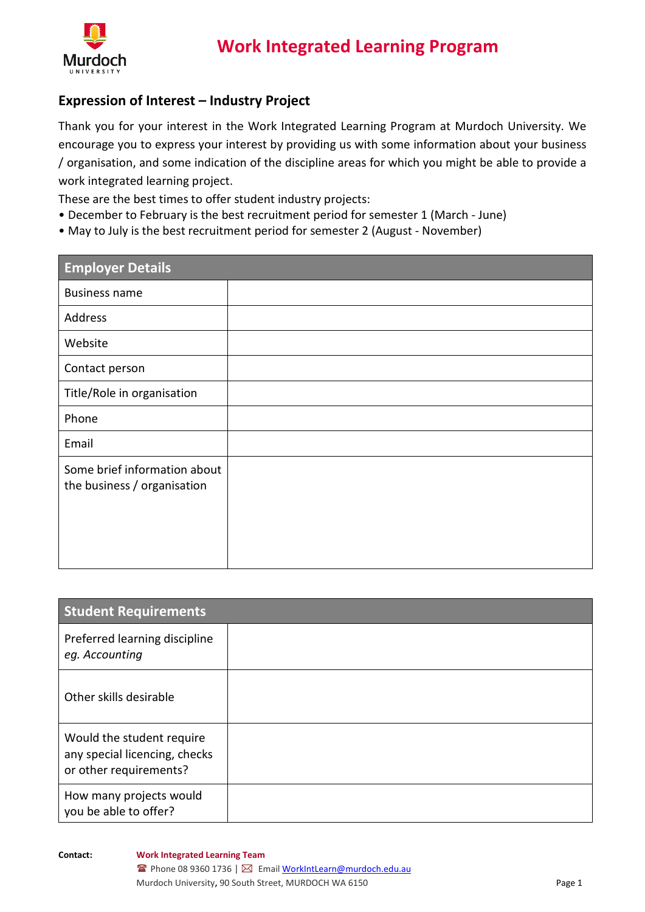

## **Expression of Interest – Industry Project**

Thank you for your interest in the Work Integrated Learning Program at Murdoch University. We encourage you to express your interest by providing us with some information about your business / organisation, and some indication of the discipline areas for which you might be able to provide a work integrated learning project.

These are the best times to offer student industry projects:

- December to February is the best recruitment period for semester 1 (March June)
- May to July is the best recruitment period for semester 2 (August November)

| <b>Employer Details</b>                                     |  |
|-------------------------------------------------------------|--|
| <b>Business name</b>                                        |  |
| Address                                                     |  |
| Website                                                     |  |
| Contact person                                              |  |
| Title/Role in organisation                                  |  |
| Phone                                                       |  |
| Email                                                       |  |
| Some brief information about<br>the business / organisation |  |

| <b>Student Requirements</b>                                                          |  |
|--------------------------------------------------------------------------------------|--|
| Preferred learning discipline<br>eg. Accounting                                      |  |
| Other skills desirable                                                               |  |
| Would the student require<br>any special licencing, checks<br>or other requirements? |  |
| How many projects would<br>you be able to offer?                                     |  |

**Contact: Work Integrated Learning Team**

■ Phone 08 9360 1736 | ⊠ Emai[l WorkIntLearn@murdoch.edu.au](mailto:WorkIntLearn@murdoch.edu.au) Murdoch University, 90 South Street, MURDOCH WA 6150 **Page 1** Page 1